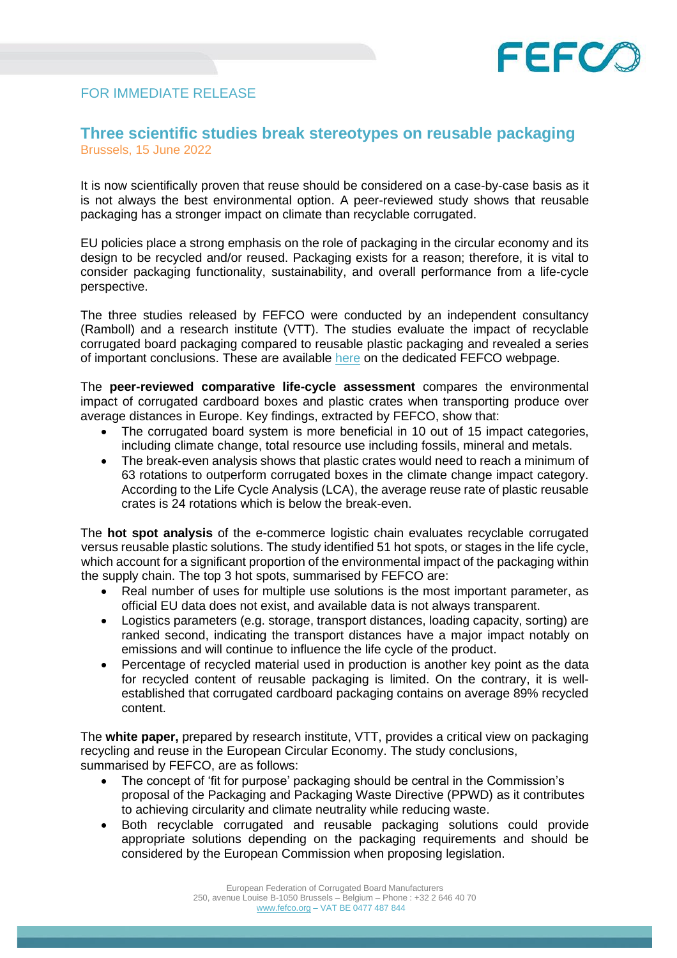

## FOR IMMEDIATE RELEASE

## **Three scientific studies break stereotypes on reusable packaging**  Brussels, 15 June 2022

It is now scientifically proven that reuse should be considered on a case-by-case basis as it is not always the best environmental option. A peer-reviewed study shows that reusable packaging has a stronger impact on climate than recyclable corrugated.

EU policies place a strong emphasis on the role of packaging in the circular economy and its design to be recycled and/or reused. Packaging exists for a reason; therefore, it is vital to consider packaging functionality, sustainability, and overall performance from a life-cycle perspective.

The three studies released by FEFCO were conducted by an independent consultancy (Ramboll) and a research institute (VTT). The studies evaluate the impact of recyclable corrugated board packaging compared to reusable plastic packaging and revealed a series of important conclusions. These are available [here](https://www.fefco.org/eu-policy/recycling-vs-reuse-packaging-project) on the dedicated FEFCO webpage.

The **peer-reviewed comparative life-cycle assessment** compares the environmental impact of corrugated cardboard boxes and plastic crates when transporting produce over average distances in Europe. Key findings, extracted by FEFCO, show that:

- The corrugated board system is more beneficial in 10 out of 15 impact categories, including climate change, total resource use including fossils, mineral and metals.
- The break-even analysis shows that plastic crates would need to reach a minimum of 63 rotations to outperform corrugated boxes in the climate change impact category. According to the Life Cycle Analysis (LCA), the average reuse rate of plastic reusable crates is 24 rotations which is below the break-even.

The **hot spot analysis** of the e-commerce logistic chain evaluates recyclable corrugated versus reusable plastic solutions. The study identified 51 hot spots, or stages in the life cycle, which account for a significant proportion of the environmental impact of the packaging within the supply chain. The top 3 hot spots, summarised by FEFCO are:

- Real number of uses for multiple use solutions is the most important parameter, as official EU data does not exist, and available data is not always transparent.
- Logistics parameters (e.g. storage, transport distances, loading capacity, sorting) are ranked second, indicating the transport distances have a major impact notably on emissions and will continue to influence the life cycle of the product.
- Percentage of recycled material used in production is another key point as the data for recycled content of reusable packaging is limited. On the contrary, it is wellestablished that corrugated cardboard packaging contains on average 89% recycled content.

The **white paper,** prepared by research institute, VTT, provides a critical view on packaging recycling and reuse in the European Circular Economy. The study conclusions, summarised by FEFCO, are as follows:

- The concept of 'fit for purpose' packaging should be central in the Commission's proposal of the Packaging and Packaging Waste Directive (PPWD) as it contributes to achieving circularity and climate neutrality while reducing waste.
- Both recyclable corrugated and reusable packaging solutions could provide appropriate solutions depending on the packaging requirements and should be considered by the European Commission when proposing legislation.